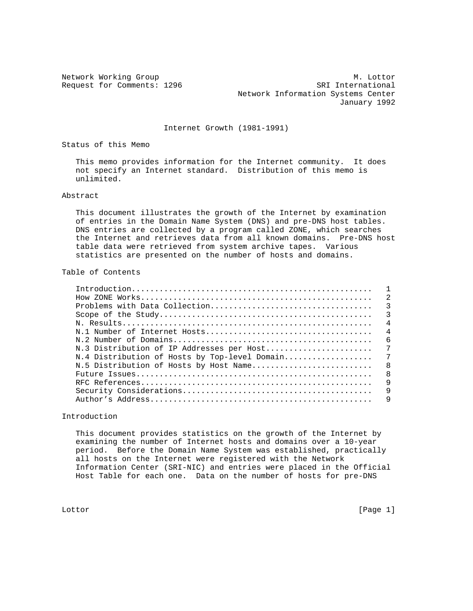Network Working Group Methods and M. Lottor Request for Comments: 1296 SRI International Network Information Systems Center January 1992

Internet Growth (1981-1991)

Status of this Memo

 This memo provides information for the Internet community. It does not specify an Internet standard. Distribution of this memo is unlimited.

### Abstract

 This document illustrates the growth of the Internet by examination of entries in the Domain Name System (DNS) and pre-DNS host tables. DNS entries are collected by a program called ZONE, which searches the Internet and retrieves data from all known domains. Pre-DNS host table data were retrieved from system archive tapes. Various statistics are presented on the number of hosts and domains.

### Table of Contents

| N.3 Distribution of IP Addresses per Host |
|-------------------------------------------|
|                                           |
|                                           |
|                                           |
|                                           |
|                                           |
|                                           |

Introduction

 This document provides statistics on the growth of the Internet by examining the number of Internet hosts and domains over a 10-year period. Before the Domain Name System was established, practically all hosts on the Internet were registered with the Network Information Center (SRI-NIC) and entries were placed in the Official Host Table for each one. Data on the number of hosts for pre-DNS

Lottor [Page 1]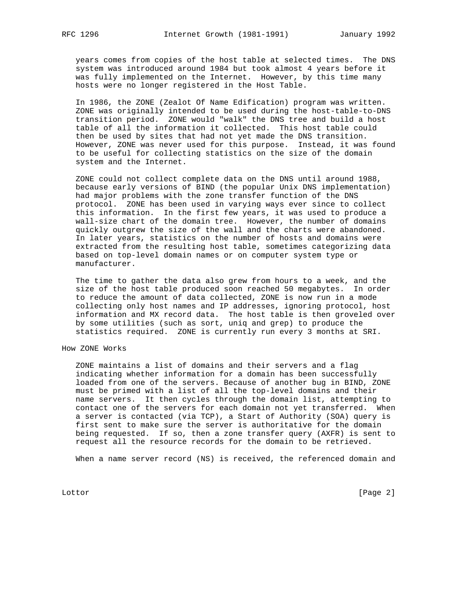years comes from copies of the host table at selected times. The DNS system was introduced around 1984 but took almost 4 years before it was fully implemented on the Internet. However, by this time many hosts were no longer registered in the Host Table.

 In 1986, the ZONE (Zealot Of Name Edification) program was written. ZONE was originally intended to be used during the host-table-to-DNS transition period. ZONE would "walk" the DNS tree and build a host table of all the information it collected. This host table could then be used by sites that had not yet made the DNS transition. However, ZONE was never used for this purpose. Instead, it was found to be useful for collecting statistics on the size of the domain system and the Internet.

 ZONE could not collect complete data on the DNS until around 1988, because early versions of BIND (the popular Unix DNS implementation) had major problems with the zone transfer function of the DNS protocol. ZONE has been used in varying ways ever since to collect this information. In the first few years, it was used to produce a wall-size chart of the domain tree. However, the number of domains quickly outgrew the size of the wall and the charts were abandoned. In later years, statistics on the number of hosts and domains were extracted from the resulting host table, sometimes categorizing data based on top-level domain names or on computer system type or manufacturer.

 The time to gather the data also grew from hours to a week, and the size of the host table produced soon reached 50 megabytes. In order to reduce the amount of data collected, ZONE is now run in a mode collecting only host names and IP addresses, ignoring protocol, host information and MX record data. The host table is then groveled over by some utilities (such as sort, uniq and grep) to produce the statistics required. ZONE is currently run every 3 months at SRI.

### How ZONE Works

 ZONE maintains a list of domains and their servers and a flag indicating whether information for a domain has been successfully loaded from one of the servers. Because of another bug in BIND, ZONE must be primed with a list of all the top-level domains and their name servers. It then cycles through the domain list, attempting to contact one of the servers for each domain not yet transferred. When a server is contacted (via TCP), a Start of Authority (SOA) query is first sent to make sure the server is authoritative for the domain being requested. If so, then a zone transfer query (AXFR) is sent to request all the resource records for the domain to be retrieved.

When a name server record (NS) is received, the referenced domain and

Lottor [Page 2]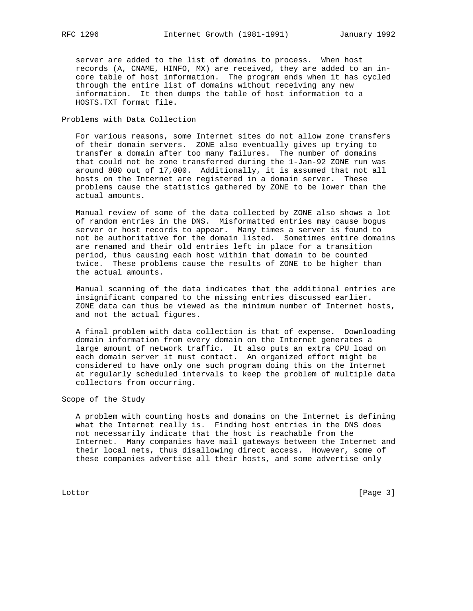server are added to the list of domains to process. When host records (A, CNAME, HINFO, MX) are received, they are added to an in core table of host information. The program ends when it has cycled through the entire list of domains without receiving any new information. It then dumps the table of host information to a HOSTS.TXT format file.

Problems with Data Collection

 For various reasons, some Internet sites do not allow zone transfers of their domain servers. ZONE also eventually gives up trying to transfer a domain after too many failures. The number of domains that could not be zone transferred during the 1-Jan-92 ZONE run was around 800 out of 17,000. Additionally, it is assumed that not all hosts on the Internet are registered in a domain server. These problems cause the statistics gathered by ZONE to be lower than the actual amounts.

 Manual review of some of the data collected by ZONE also shows a lot of random entries in the DNS. Misformatted entries may cause bogus server or host records to appear. Many times a server is found to not be authoritative for the domain listed. Sometimes entire domains are renamed and their old entries left in place for a transition period, thus causing each host within that domain to be counted twice. These problems cause the results of ZONE to be higher than the actual amounts.

 Manual scanning of the data indicates that the additional entries are insignificant compared to the missing entries discussed earlier. ZONE data can thus be viewed as the minimum number of Internet hosts, and not the actual figures.

 A final problem with data collection is that of expense. Downloading domain information from every domain on the Internet generates a large amount of network traffic. It also puts an extra CPU load on each domain server it must contact. An organized effort might be considered to have only one such program doing this on the Internet at regularly scheduled intervals to keep the problem of multiple data collectors from occurring.

Scope of the Study

 A problem with counting hosts and domains on the Internet is defining what the Internet really is. Finding host entries in the DNS does not necessarily indicate that the host is reachable from the Internet. Many companies have mail gateways between the Internet and their local nets, thus disallowing direct access. However, some of these companies advertise all their hosts, and some advertise only

Lottor [Page 3]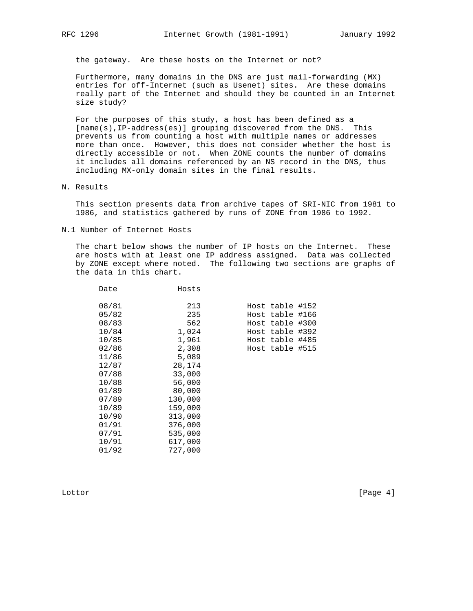the gateway. Are these hosts on the Internet or not?

 Furthermore, many domains in the DNS are just mail-forwarding (MX) entries for off-Internet (such as Usenet) sites. Are these domains really part of the Internet and should they be counted in an Internet size study?

 For the purposes of this study, a host has been defined as a [name(s),IP-address(es)] grouping discovered from the DNS. This prevents us from counting a host with multiple names or addresses more than once. However, this does not consider whether the host is directly accessible or not. When ZONE counts the number of domains it includes all domains referenced by an NS record in the DNS, thus including MX-only domain sites in the final results.

### N. Results

 This section presents data from archive tapes of SRI-NIC from 1981 to 1986, and statistics gathered by runs of ZONE from 1986 to 1992.

N.1 Number of Internet Hosts

Date Hosts

 The chart below shows the number of IP hosts on the Internet. These are hosts with at least one IP address assigned. Data was collected by ZONE except where noted. The following two sections are graphs of the data in this chart.

| Ducc  | 110060  |                 |  |
|-------|---------|-----------------|--|
| 08/81 | 213     | Host table #152 |  |
| 05/82 | 235     | Host table #166 |  |
| 08/83 | 562     | Host table #300 |  |
| 10/84 | 1,024   | Host table #392 |  |
| 10/85 | 1,961   | Host table #485 |  |
| 02/86 | 2,308   | Host table #515 |  |
| 11/86 | 5,089   |                 |  |
| 12/87 | 28,174  |                 |  |
| 07/88 | 33,000  |                 |  |
| 10/88 | 56,000  |                 |  |
| 01/89 | 80,000  |                 |  |
| 07/89 | 130,000 |                 |  |
| 10/89 | 159,000 |                 |  |
| 10/90 | 313,000 |                 |  |
| 01/91 | 376,000 |                 |  |
| 07/91 | 535,000 |                 |  |
| 10/91 | 617,000 |                 |  |
| 01/92 | 727,000 |                 |  |
|       |         |                 |  |

Lottor [Page 4]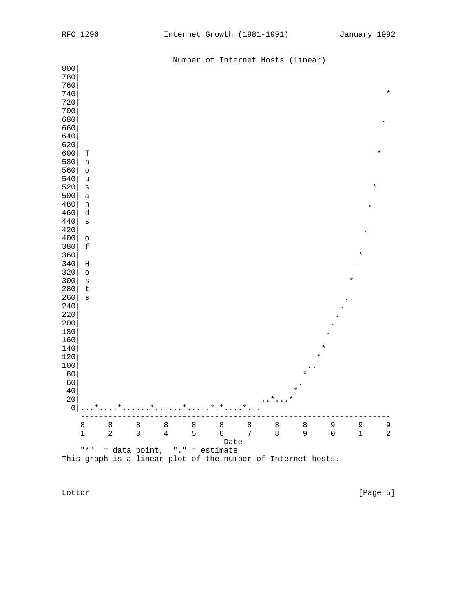|            |                              |                              |              |                |         | Number of Internet Hosts (linear)                            |   |                 |                |              |             |              |
|------------|------------------------------|------------------------------|--------------|----------------|---------|--------------------------------------------------------------|---|-----------------|----------------|--------------|-------------|--------------|
| 800        |                              |                              |              |                |         |                                                              |   |                 |                |              |             |              |
| 780        |                              |                              |              |                |         |                                                              |   |                 |                |              |             |              |
| 760        |                              |                              |              |                |         |                                                              |   |                 |                |              |             |              |
| 740        |                              |                              |              |                |         |                                                              |   |                 |                |              |             | $\star$      |
| 720        |                              |                              |              |                |         |                                                              |   |                 |                |              |             |              |
| 700        |                              |                              |              |                |         |                                                              |   |                 |                |              |             |              |
| 680        |                              |                              |              |                |         |                                                              |   |                 |                |              |             |              |
| 660        |                              |                              |              |                |         |                                                              |   |                 |                |              |             |              |
| 640        |                              |                              |              |                |         |                                                              |   |                 |                |              |             |              |
| 620        |                              |                              |              |                |         |                                                              |   |                 |                |              |             |              |
| 600        | Т                            |                              |              |                |         |                                                              |   |                 |                |              |             | $^\star$     |
| 580        | $\boldsymbol{\mathrm{h}}$    |                              |              |                |         |                                                              |   |                 |                |              |             |              |
| 560        | $\circ$                      |                              |              |                |         |                                                              |   |                 |                |              |             |              |
| 540        | u                            |                              |              |                |         |                                                              |   |                 |                |              |             |              |
| 520        | $\mathtt{s}$                 |                              |              |                |         |                                                              |   |                 |                |              |             | $\star$      |
| 500        | a                            |                              |              |                |         |                                                              |   |                 |                |              |             |              |
| 480        | $\mathbf n$                  |                              |              |                |         |                                                              |   |                 |                |              |             |              |
| 460        | d                            |                              |              |                |         |                                                              |   |                 |                |              |             |              |
| 440        | $\mathtt{s}$                 |                              |              |                |         |                                                              |   |                 |                |              |             |              |
| 420        |                              |                              |              |                |         |                                                              |   |                 |                |              |             |              |
| 400        | $\circ$                      |                              |              |                |         |                                                              |   |                 |                |              |             |              |
| 380        | $\ensuremath{\mathbf{f}}$    |                              |              |                |         |                                                              |   |                 |                |              |             |              |
| 360        |                              |                              |              |                |         |                                                              |   |                 |                |              | $^\star$    |              |
| 340        | Η                            |                              |              |                |         |                                                              |   |                 |                |              |             |              |
| 320        | $\circ$                      |                              |              |                |         |                                                              |   |                 |                |              |             |              |
| 300        | $\mathtt{s}$                 |                              |              |                |         |                                                              |   |                 |                |              | $\star$     |              |
| 280        | $\sf t$                      |                              |              |                |         |                                                              |   |                 |                |              |             |              |
| 260        | $\mathtt{s}$                 |                              |              |                |         |                                                              |   |                 |                |              |             |              |
| $240$      |                              |                              |              |                |         |                                                              |   |                 |                |              |             |              |
| 220        |                              |                              |              |                |         |                                                              |   |                 |                |              |             |              |
| 200        |                              |                              |              |                |         |                                                              |   |                 |                |              |             |              |
| 180        |                              |                              |              |                |         |                                                              |   |                 |                |              |             |              |
| 160        |                              |                              |              |                |         |                                                              |   |                 |                |              |             |              |
| 140        |                              |                              |              |                |         |                                                              |   |                 |                | $\star$      |             |              |
| 120        |                              |                              |              |                |         |                                                              |   |                 |                | $\star$      |             |              |
| 100        |                              |                              |              |                |         |                                                              |   |                 |                |              |             |              |
| 80         |                              |                              |              |                |         |                                                              |   |                 | $^\star$       |              |             |              |
| 60         |                              |                              |              |                |         |                                                              |   |                 |                |              |             |              |
|            |                              |                              |              |                |         |                                                              |   |                 | $\star$        |              |             |              |
| $40$<br>20 |                              |                              |              |                |         |                                                              |   |                 | $^\star$       |              |             |              |
|            |                              |                              |              |                |         |                                                              |   | $\dots * \dots$ |                |              |             |              |
|            |                              |                              |              |                |         |                                                              |   |                 |                |              |             |              |
|            | 8                            | 8                            | 8            | $\,8\,$        | $\,8\,$ | 8                                                            | 8 | 8               | 8              | 9            | 9           | 9            |
|            | $\mathbf 1$                  | $\overline{a}$               | $\mathbf{3}$ | $\overline{4}$ | 5       | 6 7                                                          |   | 8               | 9 <sup>°</sup> | $\mathsf{O}$ | $\mathbf 1$ | $\mathbf{2}$ |
|            |                              |                              |              |                |         | Date                                                         |   |                 |                |              |             |              |
|            | $\mathsf{H} \neq \mathsf{H}$ | = data point, "." = estimate |              |                |         |                                                              |   |                 |                |              |             |              |
|            |                              |                              |              |                |         | This graph is a linear plot of the number of Internet hosts. |   |                 |                |              |             |              |

Lottor [Page 5]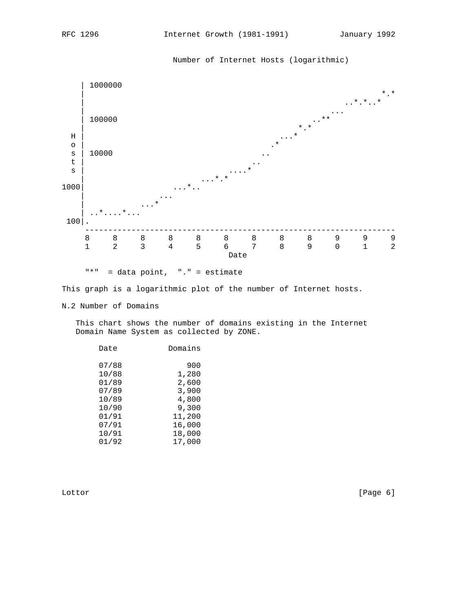

"\*" = data point, "." = estimate

This graph is a logarithmic plot of the number of Internet hosts.

N.2 Number of Domains

 This chart shows the number of domains existing in the Internet Domain Name System as collected by ZONE.

| Date  | Domains |
|-------|---------|
|       |         |
| 07/88 | 900     |
| 10/88 | 1,280   |
| 01/89 | 2,600   |
| 07/89 | 3,900   |
| 10/89 | 4,800   |
| 10/90 | 9,300   |
| 01/91 | 11,200  |
| 07/91 | 16,000  |
| 10/91 | 18,000  |
| 01/92 | 17,000  |

Lottor [Page 6]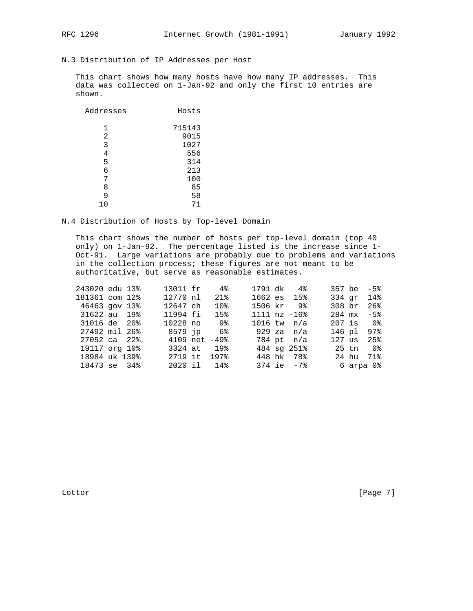# N.3 Distribution of IP Addresses per Host

This chart shows how many hosts have how many IP addresses. This data was collected on 1-Jan-92 and only the first 10 entries are shown.

| Addresses | Hosts  |
|-----------|--------|
| 1         | 715143 |
| 2         | 9015   |
| 3         | 1027   |
| 4         | 556    |
| 5         | 314    |
| 6         | 213    |
| 7         | 100    |
| 8         | 85     |
| 9         | 58     |
| 10        | 71     |

### N.4 Distribution of Hosts by Top-level Domain

This chart shows the number of hosts per top-level domain (top 40 only) on 1-Jan-92. The percentage listed is the increase since 1-Oct-91. Large variations are probably due to problems and variations in the collection process; these figures are not meant to be authoritative, but serve as reasonable estimates.

| 243020 edu 13% |  | 13011 fr 4%        |                 |            | 1791 dk 4%        |        | $357$ be $-5\%$ |
|----------------|--|--------------------|-----------------|------------|-------------------|--------|-----------------|
| 181361 com 12% |  | 12770 nl           | 21%             |            | $1662$ es $15\%$  |        | 334 gr 14%      |
| 46463 gov 13%  |  | 12647 ch           | 10 <sub>8</sub> |            | 1506 kr 9%        | 308 br | $26$ $%$        |
| 31622 au 19%   |  | 11994 fi           | 15%             |            | $1111$ nz $-16$ % |        | $284$ mx $-5\%$ |
| 31016 de 20%   |  | 10228 no 9%        |                 |            | $1016$ tw $n/a$   |        | $207$ is $0\%$  |
| 27492 mil 26%  |  | 8579 ip 6%         |                 | 929 za n/a |                   |        | 146 pl 97%      |
| 27052 ca 22%   |  | $4109$ net $-49\%$ |                 |            | 784 pt n/a        |        | 127 us 25%      |
| 19117 org 10%  |  |                    | 3324 at 19%     |            | 484 sq 251%       |        | 25 tn 0%        |
| 18984 uk 139%  |  | 2719 it 197%       |                 |            | 448 hk 78%        |        | 24 hu 71%       |
| 18473 se 34%   |  |                    | 2020 il 14%     |            | $374$ ie $-7\$    |        | 6 arpa 0%       |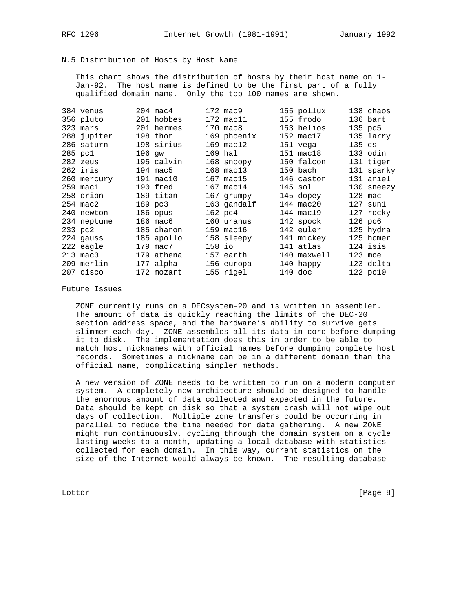## N.5 Distribution of Hosts by Host Name

This chart shows the distribution of hosts by their host name on 1-Jan-92. The host name is defined to be the first part of a fully qualified domain name. Only the top 100 names are shown.

| 384 venus          |        | $204 \text{ mac}4$ |        | 172 mac9           | 155 pollux          |            | 138 chaos          |
|--------------------|--------|--------------------|--------|--------------------|---------------------|------------|--------------------|
| 356 pluto          |        | 201 hobbes         |        | 172 mac11          | 155 frodo           |            | 136 bart           |
| 323 mars           |        | 201 hermes         |        | $170 \text{ mac8}$ | 153 helios          |            | 135 pc5            |
| 288 jupiter        |        | 198 thor           |        | 169 phoenix        | 152 mac17           |            | 135 larry          |
| 286 saturn         |        | 198 sirius         |        | 169 mac12          | 151 vega            | $135$ $cs$ |                    |
| 285 pc1            | 196 qw |                    |        | 169 hal            | $151 \text{ mac}18$ |            | 133 odin           |
| 282 zeus           |        | 195 calvin         |        | 168 snoopy         | 150 falcon          |            | 131 tiger          |
| 262 iris           |        | 194 mac5           |        | 168 mac13          | 150 bach            |            | 131 sparky         |
| 260 mercury        |        | 191 mac10          |        | 167 mac15          | 146 castor          |            | 131 ariel          |
| $259$ mac1         |        | 190 fred           |        | 167 mac14          | $145$ sol           |            | 130 sneezy         |
| 258 orion          |        | 189 titan          |        | 167 grumpy         | 145 dopey           | $128$ mac  |                    |
| $254 \text{ mac2}$ |        | 189 pc3            |        | 163 gandalf        | 144 mac20           |            | $127 \text{ sun1}$ |
| 240 newton         |        | 186 opus           |        | 162 pc4            | 144 mac19           |            | 127 rocky          |
| 234 neptune        |        | $186 \text{ mac}6$ |        | 160 uranus         | 142 spock           |            | $126$ pc $6$       |
| 233 pc2            |        | 185 charon         |        | 159 mac16          | 142 euler           |            | 125 hydra          |
| 224 gauss          |        | 185 apollo         |        | 158 sleepy         | 141 mickey          |            | 125 homer          |
| 222 eagle          |        | 179 mac7           | 158 io |                    | 141 atlas           |            | 124 isis           |
| 213 mac3           |        | 179 athena         |        | 157 earth          | 140 maxwell         |            | $123$ moe          |
| 209 merlin         |        | 177 alpha          |        | 156 europa         | 140 happy           |            | 123 delta          |
| 207 cisco          |        | 172 mozart         |        | 155 rigel          | $140$ doc           |            | 122 pc10           |

### Future Issues

ZONE currently runs on a DECsystem-20 and is written in assembler. The amount of data is quickly reaching the limits of the DEC-20 section address space, and the hardware's ability to survive gets slimmer each day. ZONE assembles all its data in core before dumping it to disk. The implementation does this in order to be able to match host nicknames with official names before dumping complete host records. Sometimes a nickname can be in a different domain than the official name, complicating simpler methods.

A new version of ZONE needs to be written to run on a modern computer system. A completely new architecture should be designed to handle the enormous amount of data collected and expected in the future. Data should be kept on disk so that a system crash will not wipe out days of collection. Multiple zone transfers could be occurring in parallel to reduce the time needed for data gathering. A new ZONE might run continuously, cycling through the domain system on a cycle lasting weeks to a month, updating a local database with statistics collected for each domain. In this way, current statistics on the size of the Internet would always be known. The resulting database

Lottor

 $[Page 8]$